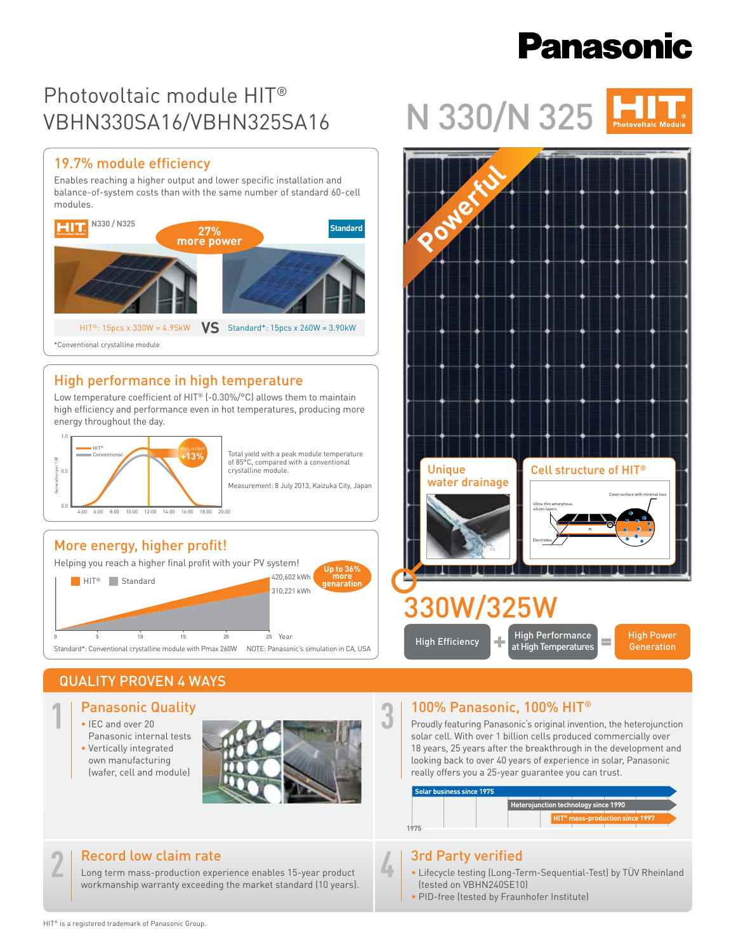# **Panasonic**

## Photovoltaic module HIT® VBHN330SA16/VBHN325SA16

#### 19.7% module efficiency

Enables reaching a higher output and lower specific installation and balance-of-system costs than with the same number of standard 60-cell modules.



### High performance in high temperature

Low temperature coefficient of HIT® (-0.30%/°C) allows them to maintain high efficiency and performance even in hot temperatures, producing more energy throughout the day.



Total yield with a peak module temperature of 85°C, compared with a conventional crystalline module.

Measurement: 8 July 2013, Kaizuka City, Japan

#### More energy, higher profit!

Helping you reach a higher final profit with your PV system! 0 5 10 15 20 25 Standard\*: Conventional crystalline module with Pmax 260W NOTE: Panasonic's simulation in CA, USA .<br>25 Year HIT® Standard 420,602 kWh 310,221 kWh **Up to 36% more genaration**

## QUALITY PROVEN 4 WAYS

- Panasonic Quality **1**
	- IEC and over 20 Panasonic internal tests
	- Vertically integrated own manufacturing (wafer, cell and module)



#### Record low claim rate

Long term mass-production experience enables 15-year product workmanship warranty exceeding the market standard (10 years).

# N 330/N 325



#### 100% Panasonic, 100% HIT® **3**

Proudly featuring Panasonic's original invention, the heterojunction solar cell. With over 1 billion cells produced commercially over 18 years, 25 years after the breakthrough in the development and looking back to over 40 years of experience in solar, Panasonic really offers you a 25-year guarantee you can trust.



### 3rd Party verified

**4**

- Lifecycle testing (Long-Term-Sequential-Test) by TÜV Rheinland (tested on VBHN240SE10)
	- PID-free (tested by Fraunhofer Institute)

**2**